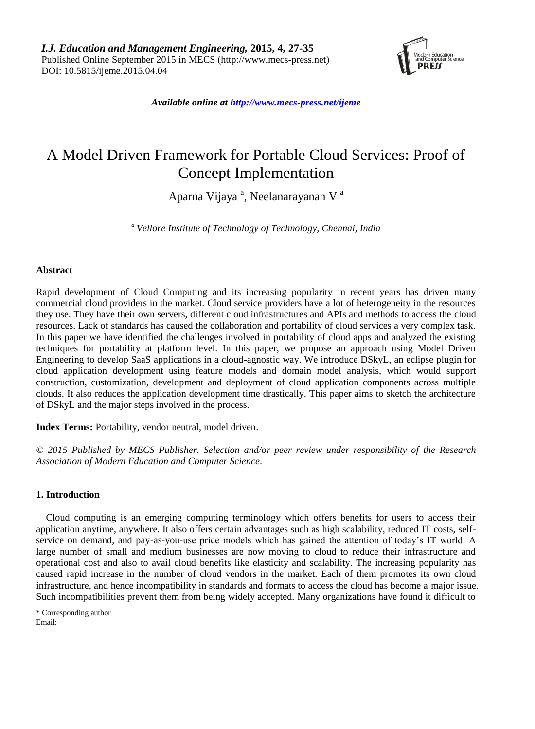

*Available online at http://www.mecs-press.net/ijeme*

# A Model Driven Framework for Portable Cloud Services: Proof of Concept Implementation

Aparna Vijaya<sup>a</sup>, Neelanarayanan V<sup>a</sup>

*<sup>a</sup> Vellore Institute of Technology of Technology, Chennai, India*

# **Abstract**

Rapid development of Cloud Computing and its increasing popularity in recent years has driven many commercial cloud providers in the market. Cloud service providers have a lot of heterogeneity in the resources they use. They have their own servers, different cloud infrastructures and APIs and methods to access the cloud resources. Lack of standards has caused the collaboration and portability of cloud services a very complex task. In this paper we have identified the challenges involved in portability of cloud apps and analyzed the existing techniques for portability at platform level. In this paper, we propose an approach using Model Driven Engineering to develop SaaS applications in a cloud-agnostic way. We introduce DSkyL, an eclipse plugin for cloud application development using feature models and domain model analysis, which would support construction, customization, development and deployment of cloud application components across multiple clouds. It also reduces the application development time drastically. This paper aims to sketch the architecture of DSkyL and the major steps involved in the process.

**Index Terms:** Portability, vendor neutral, model driven.

*© 2015 Published by MECS Publisher. Selection and/or peer review under responsibility of the Research Association of Modern Education and Computer Science.*

# **1. Introduction**

Cloud computing is an emerging computing terminology which offers benefits for users to access their application anytime, anywhere. It also offers certain advantages such as high scalability, reduced IT costs, selfservice on demand, and pay-as-you-use price models which has gained the attention of today's IT world. A large number of small and medium businesses are now moving to cloud to reduce their infrastructure and operational cost and also to avail cloud benefits like elasticity and scalability. The increasing popularity has caused rapid increase in the number of cloud vendors in the market. Each of them promotes its own cloud infrastructure, and hence incompatibility in standards and formats to access the cloud has become a major issue. Such incompatibilities prevent them from being widely accepted. Many organizations have found it difficult to

\* Corresponding author Email: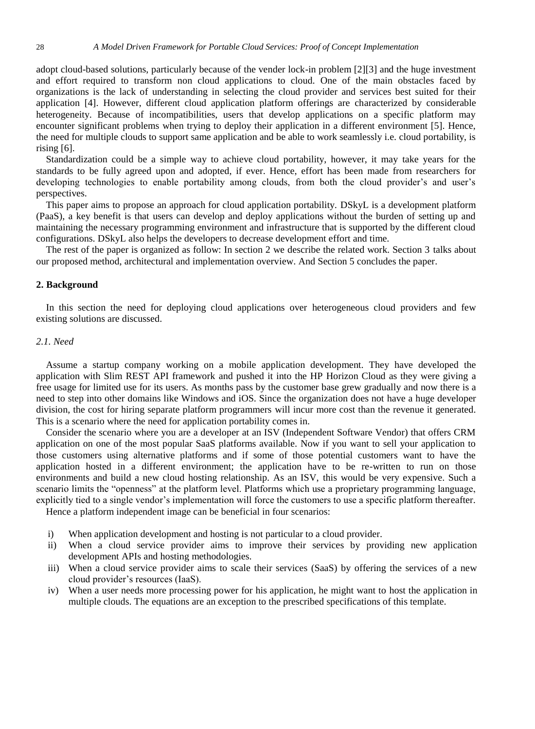adopt cloud-based solutions, particularly because of the vender lock-in problem [2][3] and the huge investment and effort required to transform non cloud applications to cloud. One of the main obstacles faced by organizations is the lack of understanding in selecting the cloud provider and services best suited for their application [4]. However, different cloud application platform offerings are characterized by considerable heterogeneity. Because of incompatibilities, users that develop applications on a specific platform may encounter significant problems when trying to deploy their application in a different environment [5]. Hence, the need for multiple clouds to support same application and be able to work seamlessly i.e. cloud portability, is rising [6].

Standardization could be a simple way to achieve cloud portability, however, it may take years for the standards to be fully agreed upon and adopted, if ever. Hence, effort has been made from researchers for developing technologies to enable portability among clouds, from both the cloud provider's and user's perspectives.

This paper aims to propose an approach for cloud application portability. DSkyL is a development platform (PaaS), a key benefit is that users can develop and deploy applications without the burden of setting up and maintaining the necessary programming environment and infrastructure that is supported by the different cloud configurations. DSkyL also helps the developers to decrease development effort and time.

The rest of the paper is organized as follow: In section 2 we describe the related work. Section 3 talks about our proposed method, architectural and implementation overview. And Section 5 concludes the paper.

## **2. Background**

In this section the need for deploying cloud applications over heterogeneous cloud providers and few existing solutions are discussed.

### *2.1. Need*

Assume a startup company working on a mobile application development. They have developed the application with Slim REST API framework and pushed it into the HP Horizon Cloud as they were giving a free usage for limited use for its users. As months pass by the customer base grew gradually and now there is a need to step into other domains like Windows and iOS. Since the organization does not have a huge developer division, the cost for hiring separate platform programmers will incur more cost than the revenue it generated. This is a scenario where the need for application portability comes in.

Consider the scenario where you are a developer at an ISV (Independent Software Vendor) that offers CRM application on one of the most popular SaaS platforms available. Now if you want to sell your application to those customers using alternative platforms and if some of those potential customers want to have the application hosted in a different environment; the application have to be re-written to run on those environments and build a new cloud hosting relationship. As an ISV, this would be very expensive. Such a scenario limits the "openness" at the platform level. Platforms which use a proprietary programming language, explicitly tied to a single vendor's implementation will force the customers to use a specific platform thereafter.

Hence a platform independent image can be beneficial in four scenarios:

- i) When application development and hosting is not particular to a cloud provider.
- ii) When a cloud service provider aims to improve their services by providing new application development APIs and hosting methodologies.
- iii) When a cloud service provider aims to scale their services (SaaS) by offering the services of a new cloud provider's resources (IaaS).
- iv) When a user needs more processing power for his application, he might want to host the application in multiple clouds. The equations are an exception to the prescribed specifications of this template.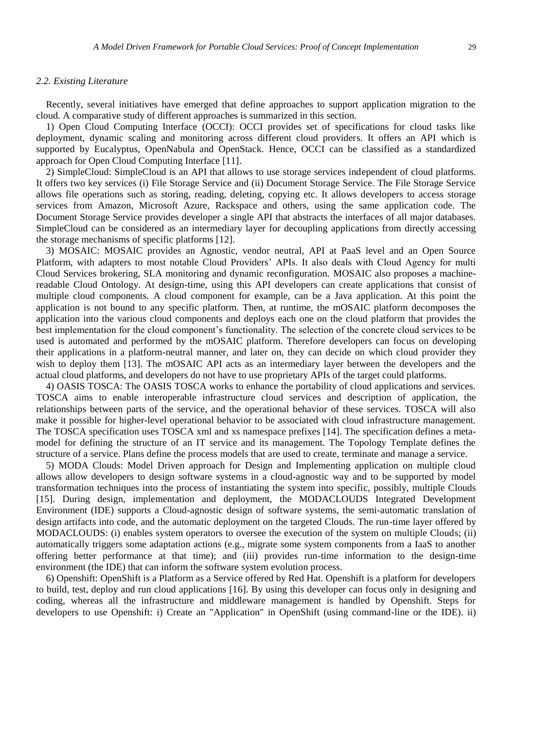## *2.2. Existing Literature*

Recently, several initiatives have emerged that define approaches to support application migration to the cloud. A comparative study of different approaches is summarized in this section.

1) Open Cloud Computing Interface (OCCI): OCCI provides set of specifications for cloud tasks like deployment, dynamic scaling and monitoring across different cloud providers. It offers an API which is supported by Eucalyptus, OpenNabula and OpenStack. Hence, OCCI can be classified as a standardized approach for Open Cloud Computing Interface [11].

2) SimpleCloud: SimpleCloud is an API that allows to use storage services independent of cloud platforms. It offers two key services (i) File Storage Service and (ii) Document Storage Service. The File Storage Service allows file operations such as storing, reading, deleting, copying etc. It allows developers to access storage services from Amazon, Microsoft Azure, Rackspace and others, using the same application code. The Document Storage Service provides developer a single API that abstracts the interfaces of all major databases. SimpleCloud can be considered as an intermediary layer for decoupling applications from directly accessing the storage mechanisms of specific platforms [12].

3) MOSAIC: MOSAIC provides an Agnostic, vendor neutral, API at PaaS level and an Open Source Platform, with adapters to most notable Cloud Providers' APIs. It also deals with Cloud Agency for multi Cloud Services brokering, SLA monitoring and dynamic reconfiguration. MOSAIC also proposes a machinereadable Cloud Ontology. At design-time, using this API developers can create applications that consist of multiple cloud components. A cloud component for example, can be a Java application. At this point the application is not bound to any specific platform. Then, at runtime, the mOSAIC platform decomposes the application into the various cloud components and deploys each one on the cloud platform that provides the best implementation for the cloud component's functionality. The selection of the concrete cloud services to be used is automated and performed by the mOSAIC platform. Therefore developers can focus on developing their applications in a platform-neutral manner, and later on, they can decide on which cloud provider they wish to deploy them [13]. The mOSAIC API acts as an intermediary layer between the developers and the actual cloud platforms, and developers do not have to use proprietary APIs of the target could platforms.

4) OASIS TOSCA: The OASIS TOSCA works to enhance the portability of cloud applications and services. TOSCA aims to enable interoperable infrastructure cloud services and description of application, the relationships between parts of the service, and the operational behavior of these services. TOSCA will also make it possible for higher-level operational behavior to be associated with cloud infrastructure management. The TOSCA specification uses TOSCA xml and xs namespace prefixes [14]. The specification defines a metamodel for defining the structure of an IT service and its management. The Topology Template defines the structure of a service. Plans define the process models that are used to create, terminate and manage a service.

5) MODA Clouds: Model Driven approach for Design and Implementing application on multiple cloud allows allow developers to design software systems in a cloud-agnostic way and to be supported by model transformation techniques into the process of instantiating the system into specific, possibly, multiple Clouds [15]. During design, implementation and deployment, the MODACLOUDS Integrated Development Environment (IDE) supports a Cloud-agnostic design of software systems, the semi-automatic translation of design artifacts into code, and the automatic deployment on the targeted Clouds. The run-time layer offered by MODACLOUDS: (i) enables system operators to oversee the execution of the system on multiple Clouds; (ii) automatically triggers some adaptation actions (e.g., migrate some system components from a IaaS to another offering better performance at that time); and (iii) provides run-time information to the design-time environment (the IDE) that can inform the software system evolution process.

6) Openshift: OpenShift is a Platform as a Service offered by Red Hat. Openshift is a platform for developers to build, test, deploy and run cloud applications [16]. By using this developer can focus only in designing and coding, whereas all the infrastructure and middleware management is handled by Openshift. Steps for developers to use Openshift: i) Create an "Application" in OpenShift (using command-line or the IDE). ii)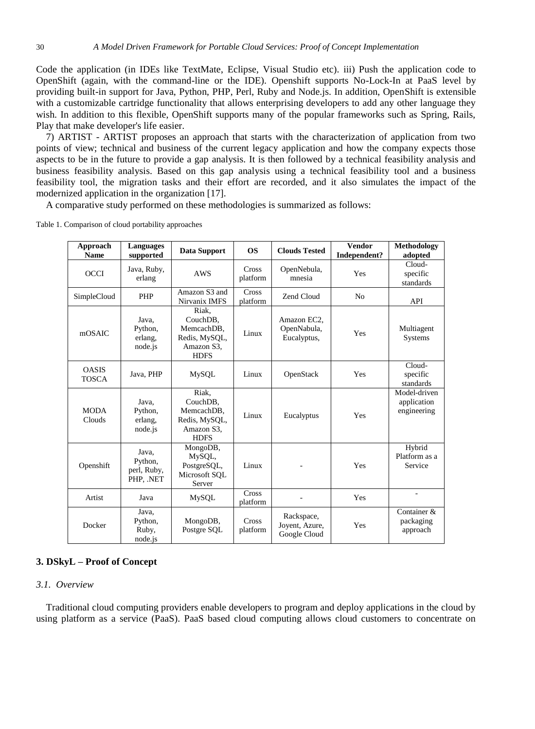Code the application (in IDEs like TextMate, Eclipse, Visual Studio etc). iii) Push the application code to OpenShift (again, with the command-line or the IDE). Openshift supports No-Lock-In at PaaS level by providing built-in support for Java, Python, PHP, Perl, Ruby and Node.js. In addition, OpenShift is extensible with a customizable cartridge functionality that allows enterprising developers to add any other language they wish. In addition to this flexible, OpenShift supports many of the popular frameworks such as Spring, Rails, Play that make developer's life easier.

7) ARTIST - ARTIST proposes an approach that starts with the characterization of application from two points of view; technical and business of the current legacy application and how the company expects those aspects to be in the future to provide a gap analysis. It is then followed by a technical feasibility analysis and business feasibility analysis. Based on this gap analysis using a technical feasibility tool and a business feasibility tool, the migration tasks and their effort are recorded, and it also simulates the impact of the modernized application in the organization [17].

A comparative study performed on these methodologies is summarized as follows:

| Approach<br><b>Name</b>      | <b>Languages</b><br>supported               | Data Support                                                                  | OS                | <b>Clouds Tested</b>                         | <b>Vendor</b><br>Independent? | Methodology<br>adopted                     |
|------------------------------|---------------------------------------------|-------------------------------------------------------------------------------|-------------------|----------------------------------------------|-------------------------------|--------------------------------------------|
| OCCI                         | Java, Ruby,<br>erlang                       | <b>AWS</b>                                                                    | Cross<br>platform | OpenNebula,<br>mnesia                        | Yes                           | Cloud-<br>specific<br>standards            |
| SimpleCloud                  | <b>PHP</b>                                  | Amazon S3 and<br>Nirvanix IMFS                                                | Cross<br>platform | Zend Cloud                                   | N <sub>o</sub>                | API                                        |
| mOSAIC                       | Java,<br>Python,<br>erlang,<br>node.js      | Riak.<br>CouchDB,<br>MemcachDB.<br>Redis, MySQL,<br>Amazon S3,<br><b>HDFS</b> | Linux             | Amazon EC2,<br>OpenNabula,<br>Eucalyptus,    | Yes                           | Multiagent<br>Systems                      |
| <b>OASIS</b><br><b>TOSCA</b> | Java, PHP                                   | <b>MySQL</b>                                                                  | Linux             | OpenStack                                    | Yes                           | Cloud-<br>specific<br>standards            |
| <b>MODA</b><br>Clouds        | Java.<br>Python,<br>erlang,<br>node.js      | Riak.<br>CouchDB,<br>MemcachDB.<br>Redis, MySQL,<br>Amazon S3,<br><b>HDFS</b> | Linux             | Eucalyptus                                   | Yes                           | Model-driven<br>application<br>engineering |
| Openshift                    | Java.<br>Python,<br>perl, Ruby,<br>PHP, NET | MongoDB,<br>MySQL,<br>PostgreSQL,<br>Microsoft SQL<br>Server                  | Linux             |                                              | Yes                           | Hybrid<br>Platform as a<br>Service         |
| Artist                       | Java                                        | <b>MySQL</b>                                                                  | Cross<br>platform |                                              | Yes                           |                                            |
| Docker                       | Java,<br>Python,<br>Ruby,<br>node.js        | MongoDB,<br>Postgre SOL                                                       | Cross<br>platform | Rackspace,<br>Joyent, Azure,<br>Google Cloud | Yes                           | Container &<br>packaging<br>approach       |

Table 1. Comparison of cloud portability approaches

# **3. DSkyL – Proof of Concept**

## *3.1. Overview*

Traditional cloud computing providers enable developers to program and deploy applications in the cloud by using platform as a service (PaaS). PaaS based cloud computing allows cloud customers to concentrate on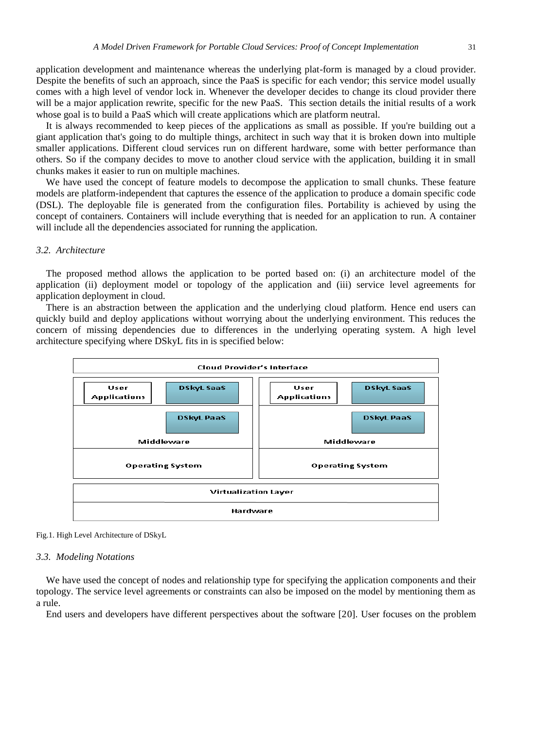application development and maintenance whereas the underlying plat-form is managed by a cloud provider. Despite the benefits of such an approach, since the PaaS is specific for each vendor; this service model usually comes with a high level of vendor lock in. Whenever the developer decides to change its cloud provider there will be a major application rewrite, specific for the new PaaS. This section details the initial results of a work whose goal is to build a PaaS which will create applications which are platform neutral.

It is always recommended to keep pieces of the applications as small as possible. If you're building out a giant application that's going to do multiple things, architect in such way that it is broken down into multiple smaller applications. Different cloud services run on different hardware, some with better performance than others. So if the company decides to move to another cloud service with the application, building it in small chunks makes it easier to run on multiple machines.

We have used the concept of feature models to decompose the application to small chunks. These feature models are platform-independent that captures the essence of the application to produce a domain specific code (DSL). The deployable file is generated from the configuration files. Portability is achieved by using the concept of containers. Containers will include everything that is needed for an application to run. A container will include all the dependencies associated for running the application.

#### *3.2. Architecture*

The proposed method allows the application to be ported based on: (i) an architecture model of the application (ii) deployment model or topology of the application and (iii) service level agreements for application deployment in cloud.

There is an abstraction between the application and the underlying cloud platform. Hence end users can quickly build and deploy applications without worrying about the underlying environment. This reduces the concern of missing dependencies due to differences in the underlying operating system. A high level architecture specifying where DSkyL fits in is specified below:





#### *3.3. Modeling Notations*

We have used the concept of nodes and relationship type for specifying the application components and their topology. The service level agreements or constraints can also be imposed on the model by mentioning them as a rule.

End users and developers have different perspectives about the software [20]. User focuses on the problem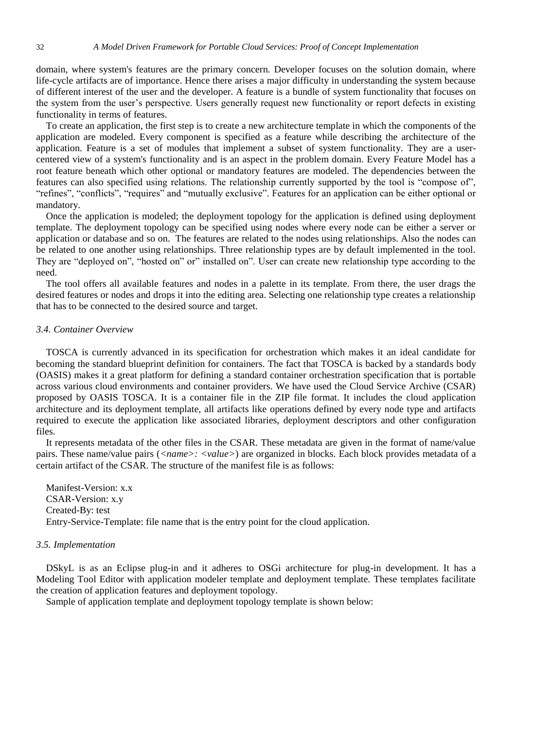domain, where system's features are the primary concern. Developer focuses on the solution domain, where life-cycle artifacts are of importance. Hence there arises a major difficulty in understanding the system because of different interest of the user and the developer. A feature is a bundle of system functionality that focuses on the system from the user's perspective. Users generally request new functionality or report defects in existing functionality in terms of features.

To create an application, the first step is to create a new architecture template in which the components of the application are modeled. Every component is specified as a feature while describing the architecture of the application. Feature is a set of modules that implement a subset of system functionality. They are a usercentered view of a system's functionality and is an aspect in the problem domain. Every Feature Model has a root feature beneath which other optional or mandatory features are modeled. The dependencies between the features can also specified using relations. The relationship currently supported by the tool is "compose of", "refines", "conflicts", "requires" and "mutually exclusive". Features for an application can be either optional or mandatory.

Once the application is modeled; the deployment topology for the application is defined using deployment template. The deployment topology can be specified using nodes where every node can be either a server or application or database and so on. The features are related to the nodes using relationships. Also the nodes can be related to one another using relationships. Three relationship types are by default implemented in the tool. They are "deployed on", "hosted on" or" installed on". User can create new relationship type according to the need.

The tool offers all available features and nodes in a palette in its template. From there, the user drags the desired features or nodes and drops it into the editing area. Selecting one relationship type creates a relationship that has to be connected to the desired source and target.

## *3.4. Container Overview*

TOSCA is currently advanced in its specification for orchestration which makes it an ideal candidate for becoming the standard blueprint definition for containers. The fact that TOSCA is backed by a standards body (OASIS) makes it a great platform for defining a standard container orchestration specification that is portable across various cloud environments and container providers. We have used the Cloud Service Archive (CSAR) proposed by OASIS TOSCA. It is a container file in the ZIP file format. It includes the cloud application architecture and its deployment template, all artifacts like operations defined by every node type and artifacts required to execute the application like associated libraries, deployment descriptors and other configuration files.

It represents metadata of the other files in the CSAR. These metadata are given in the format of name/value pairs. These name/value pairs (*<name>: <value>*) are organized in blocks. Each block provides metadata of a certain artifact of the CSAR. The structure of the manifest file is as follows:

Manifest-Version: x.x CSAR-Version: x.y Created-By: test Entry-Service-Template: file name that is the entry point for the cloud application.

## *3.5. Implementation*

DSkyL is as an Eclipse plug-in and it adheres to OSGi architecture for plug-in development. It has a Modeling Tool Editor with application modeler template and deployment template. These templates facilitate the creation of application features and deployment topology.

Sample of application template and deployment topology template is shown below: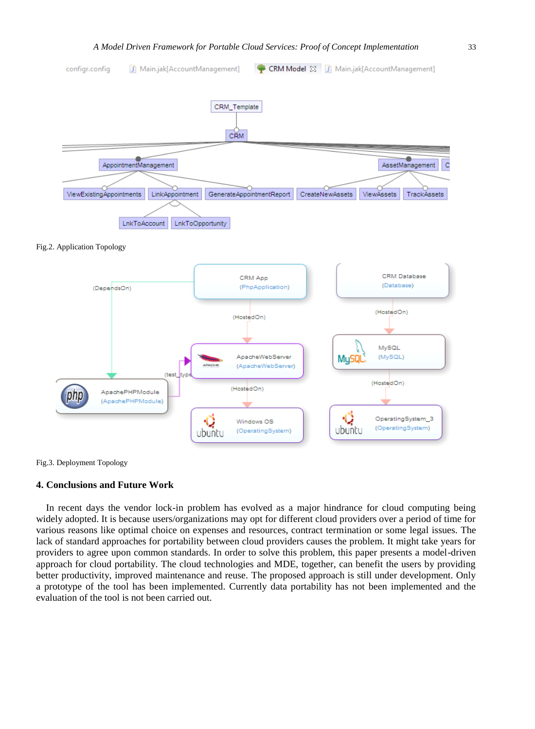

Fig.2. Application Topology



Fig.3. Deployment Topology

## **4. Conclusions and Future Work**

In recent days the vendor lock-in problem has evolved as a major hindrance for cloud computing being widely adopted. It is because users/organizations may opt for different cloud providers over a period of time for various reasons like optimal choice on expenses and resources, contract termination or some legal issues. The lack of standard approaches for portability between cloud providers causes the problem. It might take years for providers to agree upon common standards. In order to solve this problem, this paper presents a model-driven approach for cloud portability. The cloud technologies and MDE, together, can benefit the users by providing better productivity, improved maintenance and reuse. The proposed approach is still under development. Only a prototype of the tool has been implemented. Currently data portability has not been implemented and the evaluation of the tool is not been carried out.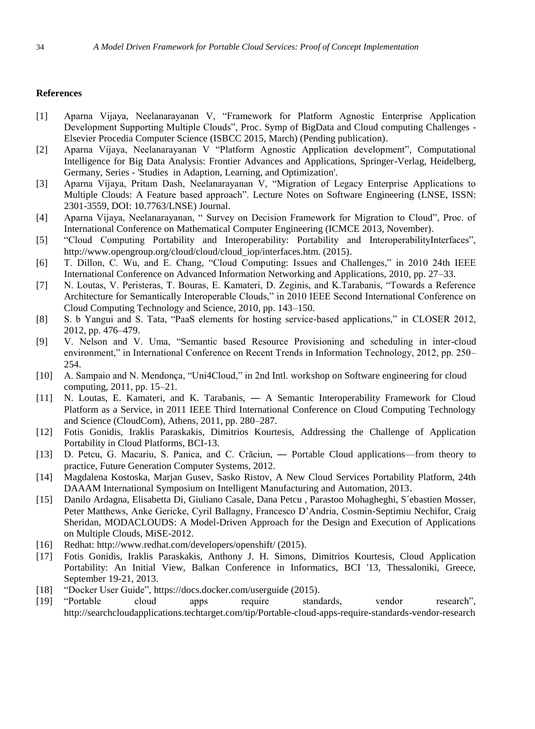## **References**

- [1] Aparna Vijaya, Neelanarayanan V, "Framework for Platform Agnostic Enterprise Application Development Supporting Multiple Clouds", Proc. Symp of BigData and Cloud computing Challenges -Elsevier Procedia Computer Science (ISBCC 2015, March) (Pending publication).
- [2] Aparna Vijaya, Neelanarayanan V "Platform Agnostic Application development", Computational Intelligence for Big Data Analysis: Frontier Advances and Applications, Springer-Verlag, Heidelberg, Germany, Series - 'Studies in Adaption, Learning, and Optimization'.
- [3] Aparna Vijaya, Pritam Dash, Neelanarayanan V, "Migration of Legacy Enterprise Applications to Multiple Clouds: A Feature based approach". Lecture Notes on Software Engineering (LNSE, ISSN: 2301-3559, DOI: 10.7763/LNSE) Journal.
- [4] Aparna Vijaya, Neelanarayanan, " Survey on Decision Framework for Migration to Cloud", Proc. of International Conference on Mathematical Computer Engineering (ICMCE 2013, November).
- [5] "Cloud Computing Portability and Interoperability: Portability and InteroperabilityInterfaces", http://www.opengroup.org/cloud/cloud/cloud\_iop/interfaces.htm. (2015).
- [6] T. Dillon, C. Wu, and E. Chang, "Cloud Computing: Issues and Challenges," in 2010 24th IEEE International Conference on Advanced Information Networking and Applications, 2010, pp. 27–33.
- [7] N. Loutas, V. Peristeras, T. Bouras, E. Kamateri, D. Zeginis, and K.Tarabanis, "Towards a Reference Architecture for Semantically Interoperable Clouds," in 2010 IEEE Second International Conference on Cloud Computing Technology and Science, 2010, pp. 143–150.
- [8] S. b Yangui and S. Tata, "PaaS elements for hosting service-based applications," in CLOSER 2012, 2012, pp. 476–479.
- [9] V. Nelson and V. Uma, "Semantic based Resource Provisioning and scheduling in inter-cloud environment," in International Conference on Recent Trends in Information Technology, 2012, pp. 250– 254.
- [10] A. Sampaio and N. Mendonça, "Uni4Cloud," in 2nd Intl. workshop on Software engineering for cloud computing, 2011, pp. 15–21.
- [11] N. Loutas, E. Kamateri, and K. Tarabanis, ― A Semantic Interoperability Framework for Cloud Platform as a Service, in 2011 IEEE Third International Conference on Cloud Computing Technology and Science (CloudCom), Athens, 2011, pp. 280–287.
- [12] Fotis Gonidis, Iraklis Paraskakis, Dimitrios Kourtesis, Addressing the Challenge of Application Portability in Cloud Platforms, BCI-13.
- [13] D. Petcu, G. Macariu, S. Panica, and C. Crăciun, ― Portable Cloud applications—from theory to practice, Future Generation Computer Systems, 2012.
- [14] Magdalena Kostoska, Marjan Gusev, Sasko Ristov, A New Cloud Services Portability Platform, 24th DAAAM International Symposium on Intelligent Manufacturing and Automation, 2013.
- [15] Danilo Ardagna, Elisabetta Di, Giuliano Casale, Dana Petcu , Parastoo Mohagheghi, S´ebastien Mosser, Peter Matthews, Anke Gericke, Cyril Ballagny, Francesco D'Andria, Cosmin-Septimiu Nechifor, Craig Sheridan, MODACLOUDS: A Model-Driven Approach for the Design and Execution of Applications on Multiple Clouds, MiSE-2012.
- [16] Redhat: http://www.redhat.com/developers/openshift/ (2015).
- [17] Fotis Gonidis, Iraklis Paraskakis, Anthony J. H. Simons, Dimitrios Kourtesis, Cloud Application Portability: An Initial View, Balkan Conference in Informatics, BCI '13, Thessaloniki, Greece, September 19-21, 2013.
- [18] "Docker User Guide", https://docs.docker.com/userguide (2015).
- [19] "Portable cloud apps require standards, vendor research", [http://searchcloudapplications.techtarget.com/tip/Portable-cloud-apps-require-standards-vendor-research](http://searchcloudapplications.techtarget.com/tip/Portable-cloud-apps-require-standards-vendor-research%20(2015))